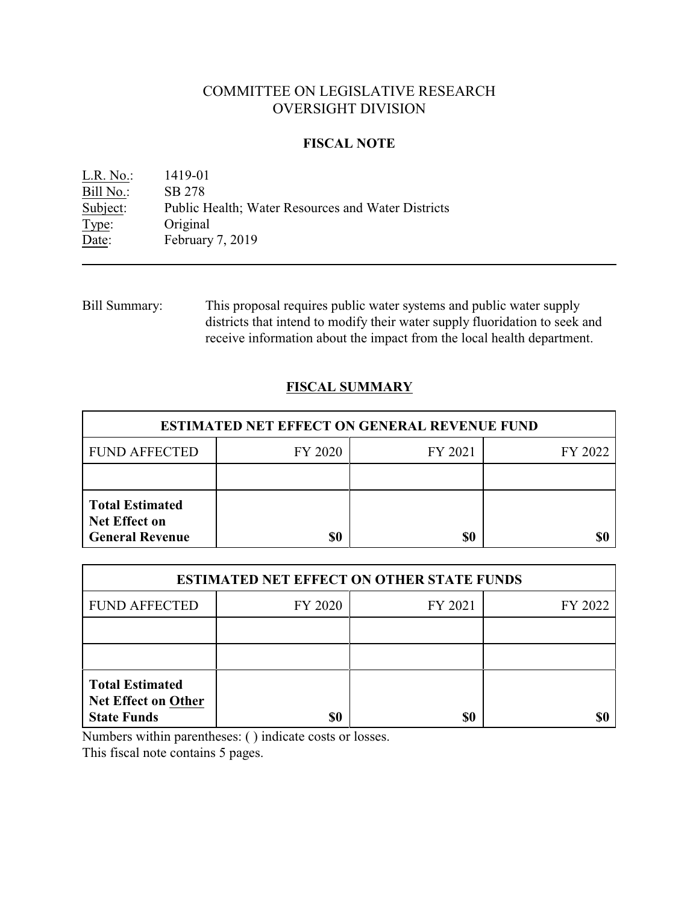# COMMITTEE ON LEGISLATIVE RESEARCH OVERSIGHT DIVISION

### **FISCAL NOTE**

L.R. No.: 1419-01 Bill No.: SB 278<br>Subject: Public P Public Health; Water Resources and Water Districts Type: Original Date: February 7, 2019

Bill Summary: This proposal requires public water systems and public water supply districts that intend to modify their water supply fluoridation to seek and receive information about the impact from the local health department.

## **FISCAL SUMMARY**

| <b>ESTIMATED NET EFFECT ON GENERAL REVENUE FUND</b>                      |         |         |         |  |
|--------------------------------------------------------------------------|---------|---------|---------|--|
| <b>FUND AFFECTED</b>                                                     | FY 2020 | FY 2021 | FY 2022 |  |
|                                                                          |         |         |         |  |
| <b>Total Estimated</b><br><b>Net Effect on</b><br><b>General Revenue</b> | \$0     | \$0     |         |  |

| <b>ESTIMATED NET EFFECT ON OTHER STATE FUNDS</b>                           |         |         |         |  |
|----------------------------------------------------------------------------|---------|---------|---------|--|
| <b>FUND AFFECTED</b>                                                       | FY 2020 | FY 2021 | FY 2022 |  |
|                                                                            |         |         |         |  |
|                                                                            |         |         |         |  |
| <b>Total Estimated</b><br><b>Net Effect on Other</b><br><b>State Funds</b> | \$0     | \$0     |         |  |

Numbers within parentheses: ( ) indicate costs or losses.

This fiscal note contains 5 pages.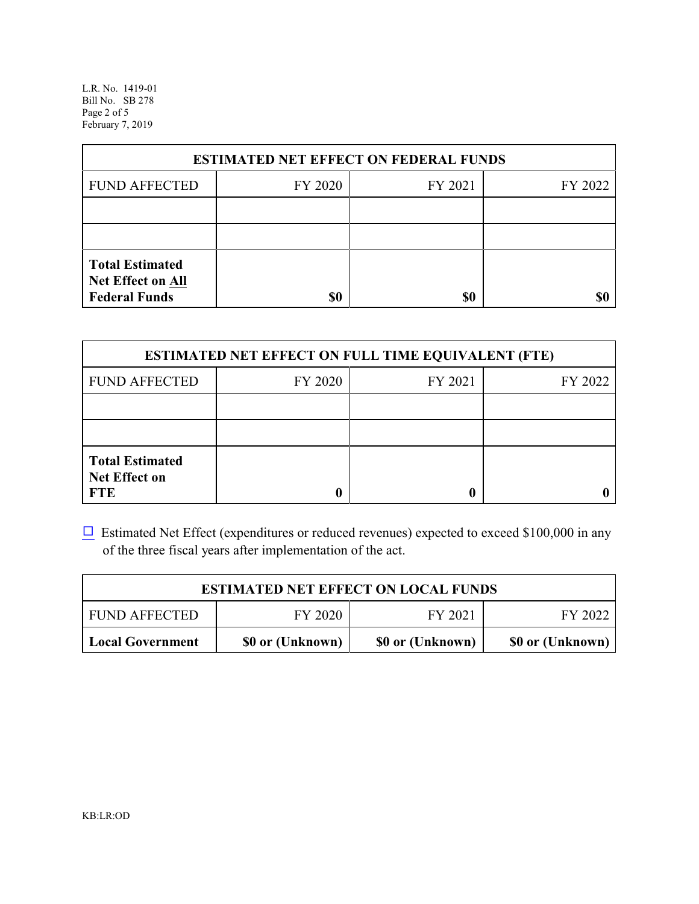L.R. No. 1419-01 Bill No. SB 278 Page 2 of 5 February 7, 2019

| <b>ESTIMATED NET EFFECT ON FEDERAL FUNDS</b>                        |         |         |         |  |
|---------------------------------------------------------------------|---------|---------|---------|--|
| <b>FUND AFFECTED</b>                                                | FY 2020 | FY 2021 | FY 2022 |  |
|                                                                     |         |         |         |  |
|                                                                     |         |         |         |  |
| <b>Total Estimated</b><br>Net Effect on All<br><b>Federal Funds</b> | \$0     | \$0     |         |  |

| <b>ESTIMATED NET EFFECT ON FULL TIME EQUIVALENT (FTE)</b>    |         |         |         |  |
|--------------------------------------------------------------|---------|---------|---------|--|
| <b>FUND AFFECTED</b>                                         | FY 2020 | FY 2021 | FY 2022 |  |
|                                                              |         |         |         |  |
|                                                              |         |         |         |  |
| <b>Total Estimated</b><br><b>Net Effect on</b><br><b>FTE</b> |         |         |         |  |

 $\Box$  Estimated Net Effect (expenditures or reduced revenues) expected to exceed \$100,000 in any of the three fiscal years after implementation of the act.

| <b>ESTIMATED NET EFFECT ON LOCAL FUNDS</b> |                  |                  |                  |  |
|--------------------------------------------|------------------|------------------|------------------|--|
| <b>FUND AFFECTED</b>                       | FY 2020          | FY 2021          | FY 2022          |  |
| <b>Local Government</b>                    | \$0 or (Unknown) | \$0 or (Unknown) | \$0 or (Unknown) |  |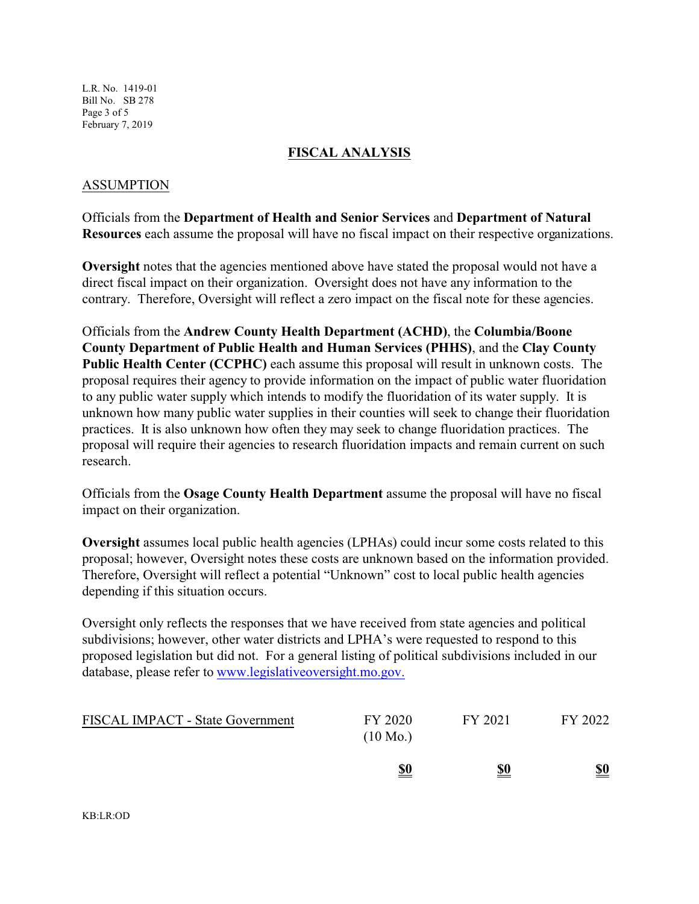L.R. No. 1419-01 Bill No. SB 278 Page 3 of 5 February 7, 2019

### **FISCAL ANALYSIS**

### ASSUMPTION

Officials from the **Department of Health and Senior Services** and **Department of Natural Resources** each assume the proposal will have no fiscal impact on their respective organizations.

**Oversight** notes that the agencies mentioned above have stated the proposal would not have a direct fiscal impact on their organization. Oversight does not have any information to the contrary. Therefore, Oversight will reflect a zero impact on the fiscal note for these agencies.

Officials from the **Andrew County Health Department (ACHD)**, the **Columbia/Boone County Department of Public Health and Human Services (PHHS)**, and the **Clay County Public Health Center (CCPHC)** each assume this proposal will result in unknown costs. The proposal requires their agency to provide information on the impact of public water fluoridation to any public water supply which intends to modify the fluoridation of its water supply. It is unknown how many public water supplies in their counties will seek to change their fluoridation practices. It is also unknown how often they may seek to change fluoridation practices. The proposal will require their agencies to research fluoridation impacts and remain current on such research.

Officials from the **Osage County Health Department** assume the proposal will have no fiscal impact on their organization.

**Oversight** assumes local public health agencies (LPHAs) could incur some costs related to this proposal; however, Oversight notes these costs are unknown based on the information provided. Therefore, Oversight will reflect a potential "Unknown" cost to local public health agencies depending if this situation occurs.

Oversight only reflects the responses that we have received from state agencies and political subdivisions; however, other water districts and LPHA's were requested to respond to this proposed legislation but did not. For a general listing of political subdivisions included in our database, please refer to [www.legislativeoversight.mo.gov.](http://www.legislativeoversight.mo.gov.)

| <b>FISCAL IMPACT - State Government</b> | FY 2020<br>$(10 \text{ Mo.})$ | FY 2021    | FY 2022    |
|-----------------------------------------|-------------------------------|------------|------------|
|                                         | <u>\$0</u>                    | <u>\$0</u> | <u>\$0</u> |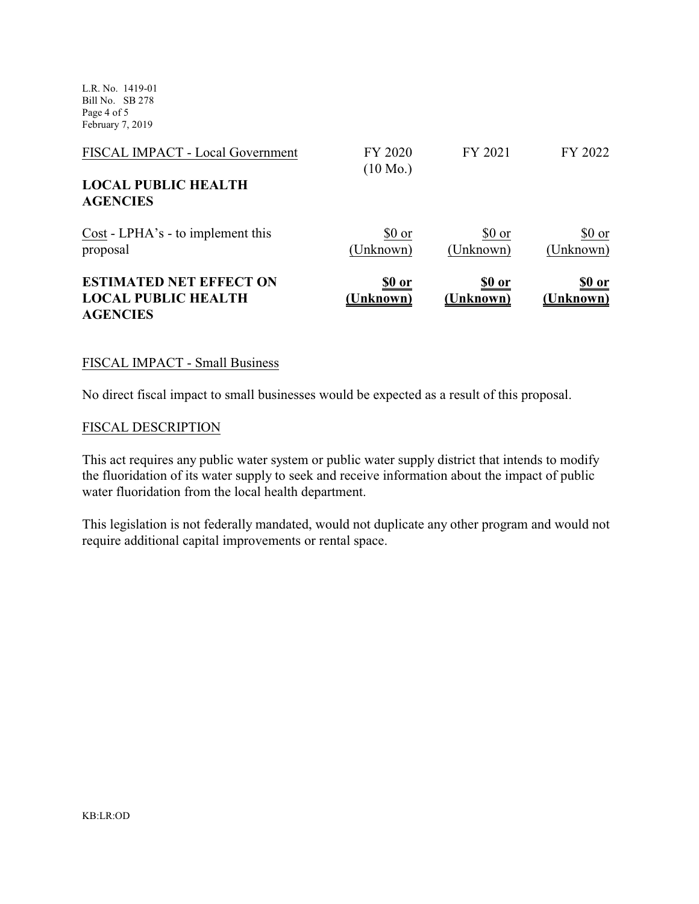L.R. No. 1419-01 Bill No. SB 278 Page 4 of 5 February 7, 2019

| FISCAL IMPACT - Local Government                                                | FY 2020<br>$(10 \text{ Mo.})$ | FY 2021                    | FY 2022                    |
|---------------------------------------------------------------------------------|-------------------------------|----------------------------|----------------------------|
| <b>LOCAL PUBLIC HEALTH</b><br><b>AGENCIES</b>                                   |                               |                            |                            |
| Cost - LPHA's - to implement this<br>proposal                                   | \$0 or<br>(Unknown)           | \$0 or<br>(Unknown)        | \$0 or<br>(Unknown)        |
| <b>ESTIMATED NET EFFECT ON</b><br><b>LOCAL PUBLIC HEALTH</b><br><b>AGENCIES</b> | <u>\$0 or</u><br>(Unknown)    | <u>\$0 or</u><br>(Unknown) | <u>\$0 or</u><br>(Unknown) |

#### FISCAL IMPACT - Small Business

No direct fiscal impact to small businesses would be expected as a result of this proposal.

#### FISCAL DESCRIPTION

This act requires any public water system or public water supply district that intends to modify the fluoridation of its water supply to seek and receive information about the impact of public water fluoridation from the local health department.

This legislation is not federally mandated, would not duplicate any other program and would not require additional capital improvements or rental space.